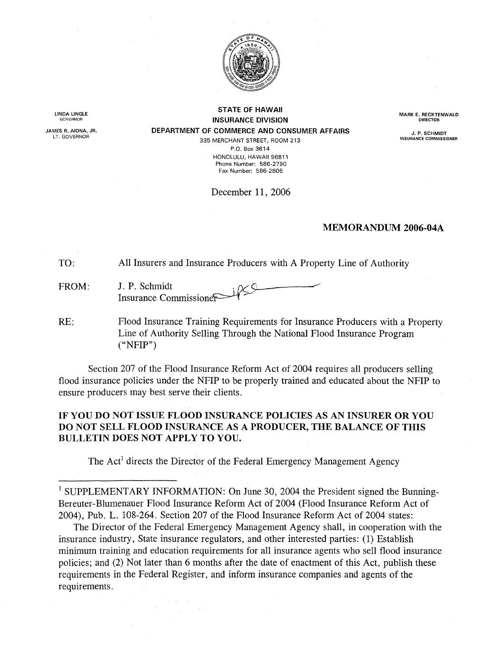

LINDA LINGLE GOVERNOR

JAMES R. AIONA, JR. LT. GOVERNOR

STATE OF HAWAII INSURANCE DIVISION DEPARTMENT OF COMMERCE AND CONSUMER AFFAIRS

INSURANCE COMMISSIONER 335 MERCHANT STREET, ROOM 213 P.O. Box 3614 HONOLULU, HAWAII 96811 Phone Number: 586-2790 Fax Number: 586-2806

December 11, 2006

## MEMORANDUM 2006-04A

TO: All Insurers and Insurance Producers with A Property Line of Authority

FROM: J. P. Schmidt Insurance Commissioner

RE: Flood Insurance Training Requirements for Insurance Producers with a Property Line of Authority Selling Through the National Flood Insurance Program ("NFIP")

Section 207 of the Flood Insurance Reform Act of 2004 requires all producers selling flood insurance policies under the NFIP to be properly trained and educated about the NFIP to ensure producers may best serve their clients.

## IF YOU DO NOT ISSUE FLOOD INSURANCE POLICIES AS AN INSURER OR YOU DO NOT SELL FLOOD INSURANCE AS A PRODUCER, THE BALANCE OF THIS BULLETIN DOES NOT APPLY TO YOU.

The Act<sup>1</sup> directs the Director of the Federal Emergency Management Agency

<sup>1</sup> SUPPLEMENTARY INFORMATION: On June 30, 2004 the President signed the Bunning-Bereuter-Blumenauer Flood Insurance Reform Act of 2004 (Flood Insurance Reform Act of 2004), Pub. L. 108-264. Section 207 of the Flood Insurance Reform Act of 2004 states:

The Director of the Federal Emergency Management Agency shall, in cooperation with the insurance industry, State insurance regulators, and other interested parties: (l) Establish minimum training and education requirements for all insurance agents who sell flood insurance policies; and (2) Not later than 6 months after the date of enactment of this Act, publish these requirements in the Federal Register, and inform insurance companies and agents of the requirements.

MARK E. RECKTENWALD **DIRECTOR** 

J. P. SCHMIDT<br>INSURANCE COMMISSIONER